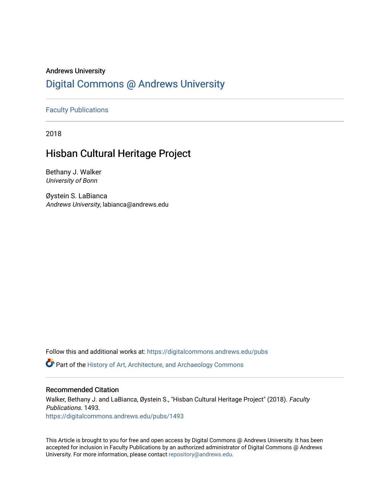## Andrews University [Digital Commons @ Andrews University](https://digitalcommons.andrews.edu/)

### [Faculty Publications](https://digitalcommons.andrews.edu/pubs)

2018

## Hisban Cultural Heritage Project

Bethany J. Walker University of Bonn

Øystein S. LaBianca Andrews University, labianca@andrews.edu

Follow this and additional works at: [https://digitalcommons.andrews.edu/pubs](https://digitalcommons.andrews.edu/pubs?utm_source=digitalcommons.andrews.edu%2Fpubs%2F1493&utm_medium=PDF&utm_campaign=PDFCoverPages) 

**C** Part of the History of Art, Architecture, and Archaeology Commons

#### Recommended Citation

Walker, Bethany J. and LaBianca, Øystein S., "Hisban Cultural Heritage Project" (2018). Faculty Publications. 1493. [https://digitalcommons.andrews.edu/pubs/1493](https://digitalcommons.andrews.edu/pubs/1493?utm_source=digitalcommons.andrews.edu%2Fpubs%2F1493&utm_medium=PDF&utm_campaign=PDFCoverPages) 

This Article is brought to you for free and open access by Digital Commons @ Andrews University. It has been accepted for inclusion in Faculty Publications by an authorized administrator of Digital Commons @ Andrews University. For more information, please contact [repository@andrews.edu](mailto:repository@andrews.edu).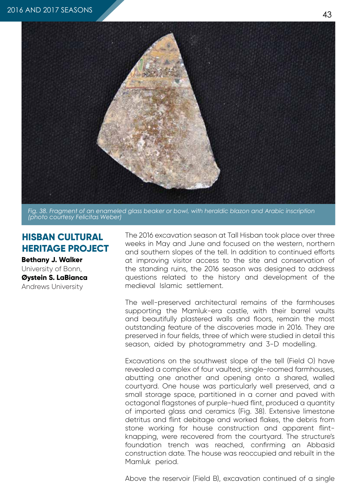

*Fig. 38. Fragment of an enameled glass beaker or bowl, with heraldic blazon and Arabic inscription (photo courtesy Felicitas Weber)*

# **HISBAN CULTURAL HERITAGE PROJECT**

**Bethany J. Walker** University of Bonn, **Øystein S. LaBianca** Andrews University

The 2016 excavation season at Tall Hisban took place over three weeks in May and June and focused on the western, northern and southern slopes of the tell. In addition to continued efforts at improving visitor access to the site and conservation of the standing ruins, the 2016 season was designed to address questions related to the history and development of the medieval Islamic settlement.

The well-preserved architectural remains of the farmhouses supporting the Mamluk-era castle, with their barrel vaults and beautifully plastered walls and floors, remain the most outstanding feature of the discoveries made in 2016. They are preserved in four fields, three of which were studied in detail this season, aided by photogrammetry and 3-D modelling.

Excavations on the southwest slope of the tell (Field O) have revealed a complex of four vaulted, single-roomed farmhouses, abutting one another and opening onto a shared, walled courtyard. One house was particularly well preserved, and a small storage space, partitioned in a corner and paved with octagonal flagstones of purple-hued flint, produced a quantity of imported glass and ceramics (Fig. 38). Extensive limestone detritus and flint debitage and worked flakes, the debris from stone working for house construction and apparent flintknapping, were recovered from the courtyard. The structure's foundation trench was reached, confirming an Abbasid construction date. The house was reoccupied and rebuilt in the Mamluk period.

Above the reservoir (Field B), excavation continued of a single